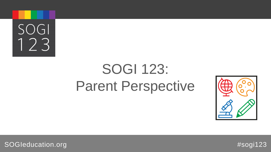

## SOGI 123: Parent Perspective

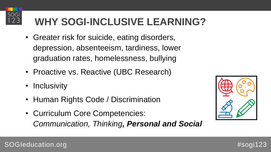## **WHY SOGI-INCLUSIVE LEARNING?**

- Greater risk for suicide, eating disorders, depression, absenteeism, tardiness, lower graduation rates, homelessness, bullying
- Proactive vs. Reactive (UBC Research)
- Inclusivity

SOGI

23

- Human Rights Code / Discrimination
- Curriculum Core Competencies: *Communication, Thinking, Personal and Social*

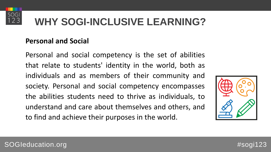

## **WHY SOGI-INCLUSIVE LEARNING?**

#### **Personal and Social**

Personal and social competency is the set of abilities that relate to students' identity in the world, both as individuals and as members of their community and society. Personal and social competency encompasses the abilities students need to thrive as individuals, to understand and care about themselves and others, and to find and achieve their purposes in the world.



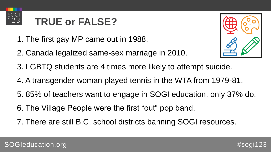

## **TRUE or FALSE?**

- 1. The first gay MP came out in 1988.
- 2. Canada legalized same-sex marriage in 2010.



- 3. LGBTQ students are 4 times more likely to attempt suicide.
- 4. A transgender woman played tennis in the WTA from 1979-81.
- 5. 85% of teachers want to engage in SOGI education, only 37% do.
- 6. The Village People were the first "out" pop band.
- 7. There are still B.C. school districts banning SOGI resources.

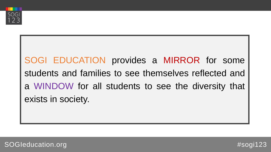

SOGI EDUCATION provides a MIRROR for some students and families to see themselves reflected and a WINDOW for all students to see the diversity that exists in society.

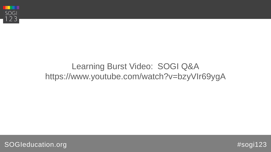

### Learning Burst Video: SOGI Q&A https://www.youtube.com/watch?v=bzyVIr69ygA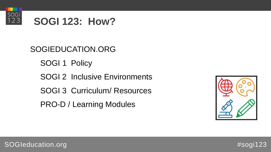

## **SOGI 123: How?**

SOGIEDUCATION.ORG SOGI<sub>1</sub> Policy SOGI 2 Inclusive Environments SOGI 3 Curriculum/ Resources PRO-D / Learning Modules





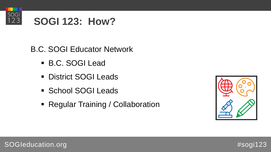

## **SOGI 123: How?**

B.C. SOGI Educator Network

- B.C. SOGI Lead
- **District SOGI Leads**
- **School SOGI Leads**
- Regular Training / Collaboration





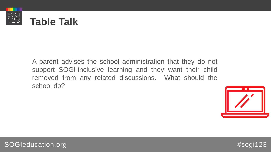

A parent advises the school administration that they do not support SOGI-inclusive learning and they want their child removed from any related discussions. What should the school do?



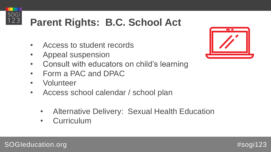# $\begin{array}{c} 50G1 \\ 123 \end{array}$

## **Parent Rights: B.C. School Act**

- Access to student records
- Appeal suspension
- Consult with educators on child's learning
- Form a PAC and DPAC
- Volunteer
- Access school calendar / school plan
	- Alternative Delivery: Sexual Health Education
	- Curriculum

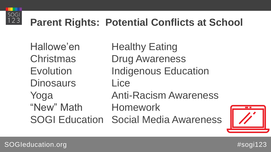

## **Parent Rights: Potential Conflicts at School**

Hallowe'en Healthy Eating Christmas Drug Awareness Evolution Indigenous Education Dinosaurs Lice Yoga Anti-Racism Awareness "New" Math Homework

SOGI Education Social Media Awareness



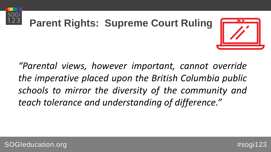





*"Parental views, however important, cannot override the imperative placed upon the British Columbia public schools to mirror the diversity of the community and teach tolerance and understanding of difference."*

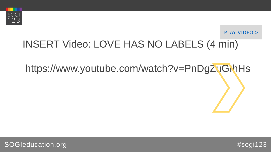



## INSERT Video: LOVE HAS NO LABELS (4 min)

# https://www.youtube.com/watch?v=PnDgZuGihHs